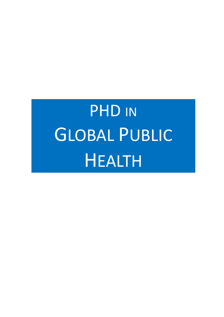PHD IN **GLOBAL PUBLIC HEALTH**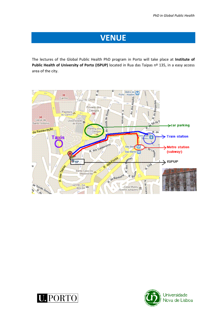# **VENUE**

The lectures of the Global Public Health PhD program in Porto will take place at **Institute of Public Health of University of Porto (ISPUP)** located in Rua das Taipas nº 135, in a easy access area of the city.





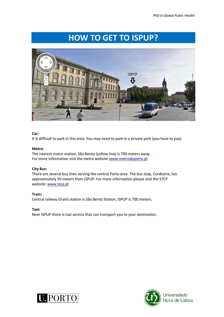## **HOW TO GET TO ISPUP?**



#### **Car:**

It is difficult to park in this area. You may need to park in a private park (you have to pay).

#### **Metro:**

The nearest metro station, São Bento (yellow line) is 700 meters away. For more information visit the metro website [www.metrodoporto.pt](http://www.metrodoporto.pt/)

#### **City Bus:**

There are several bus lines serving the central Porto area. The bus stop, Cordoaria, lies approximately 50 meters from ISPUP. For more information please visit the STCP website: [www.stcp.pt](http://www.stcp.pt/)

**Train:** Central railway (train) station is São Bento Station, ISPUP is 700 meters.

**Taxi:**

Near ISPUP there is taxi service that can transport you to your destination.



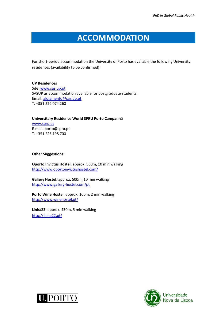## **ACCOMMODATION**

For short-period accommodation the University of Porto has available the following University residences (availability to be confirmed):

**UP Residences**

Site: [www.sas.up.pt](http://www.sas.up.pt/) SASUP as accommodation available for postgraduate students. Email: [alojamento@sas.up.pt](mailto:alojamento@sas.up.pt) T. +351 222 074 260

**Universitary Residence World SPRU Porto Campanhã** [www.spru.pt](http://www.spru.pt/) E-mail[: porto@spru.pt](mailto:porto@spru.pt) T. +351 225 198 700

**Other Suggestions:**

**Oporto Invictus Hostel**: approx. 500m, 10 min walking <http://www.oportoinvictushostel.com/>

**Gallery Hostel**: approx. 500m, 10 min walking <http://www.gallery-hostel.com/pt>

**Porto Wine Hostel**: approx. 100m, 2 min walking <http://www.winehostel.pt/>

**Linha22**: approx. 450m, 5 min walking <http://linha22.pt/>



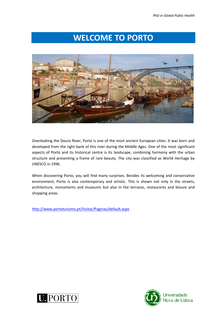# **WELCOME TO PORTO**



Overlooking the Douro River, Porto is one of the most ancient European cities. It was born and developed from the right bank of this river during the Middle Ages. One of the most significant aspects of Porto and its historical centre is its landscape, combining harmony with the urban structure and presenting a frame of rare beauty. The city was classified as World Heritage by UNESCO in 1996.

When discovering Porto, you will find many surprises. Besides its welcoming and conservative environment, Porto is also contemporary and artistic. This is shown not only in the streets, architecture, monuments and museums but also in the terraces, restaurants and leisure and shopping areas.

<http://www.portoturismo.pt/Visitar/Paginas/default.aspx>